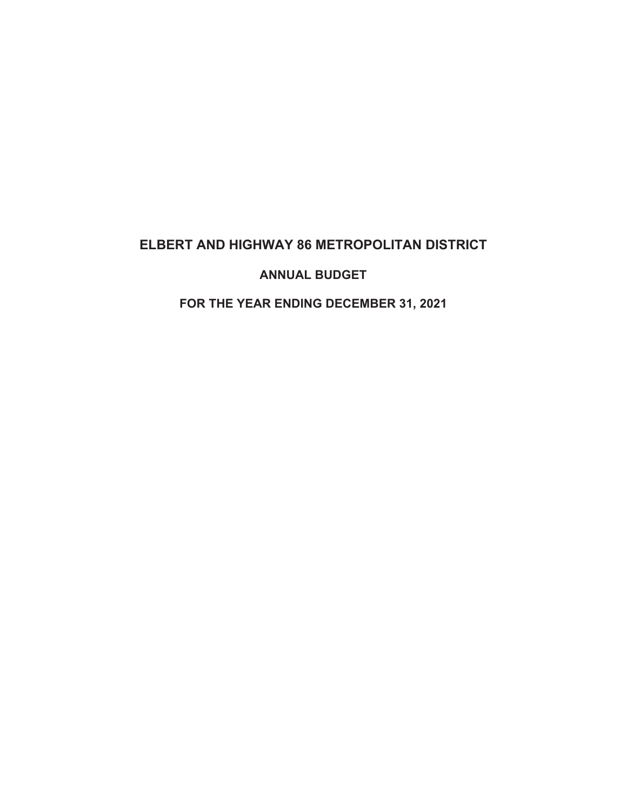# **ELBERT AND HIGHWAY 86 METROPOLITAN DISTRICT**

# **ANNUAL BUDGET**

# **FOR THE YEAR ENDING DECEMBER 31, 2021**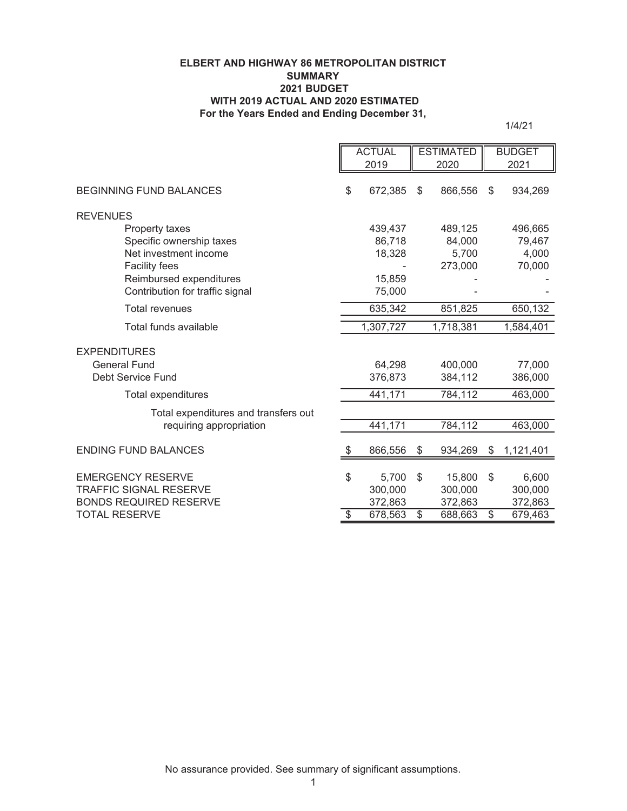## **ELBERT AND HIGHWAY 86 METROPOLITAN DISTRICT SUMMARY 2021 BUDGET WITH 2019 ACTUAL AND 2020 ESTIMATED For the Years Ended and Ending December 31,**

1/4/21

|                                                                | <b>ACTUAL</b>            |                    | <b>ESTIMATED</b> |                    | <b>BUDGET</b>            |                    |
|----------------------------------------------------------------|--------------------------|--------------------|------------------|--------------------|--------------------------|--------------------|
|                                                                |                          | 2019               |                  | 2020               |                          | 2021               |
| <b>BEGINNING FUND BALANCES</b>                                 | \$                       | 672,385            | \$               | 866,556            | \$                       | 934,269            |
| <b>REVENUES</b>                                                |                          |                    |                  |                    |                          |                    |
| Property taxes                                                 |                          | 439,437            |                  | 489,125            |                          | 496,665            |
| Specific ownership taxes                                       |                          | 86,718             |                  | 84,000             |                          | 79,467             |
| Net investment income                                          |                          | 18,328             |                  | 5,700              |                          | 4,000              |
| <b>Facility fees</b>                                           |                          |                    |                  | 273,000            |                          | 70,000             |
| Reimbursed expenditures                                        |                          | 15,859             |                  |                    |                          |                    |
| Contribution for traffic signal                                |                          | 75,000             |                  |                    |                          |                    |
| <b>Total revenues</b>                                          |                          | 635,342            |                  | 851,825            |                          | 650,132            |
| Total funds available                                          |                          | 1,307,727          |                  | 1,718,381          |                          | 1,584,401          |
| <b>EXPENDITURES</b>                                            |                          |                    |                  |                    |                          |                    |
| <b>General Fund</b>                                            |                          | 64,298             |                  | 400,000            |                          | 77,000             |
| Debt Service Fund                                              |                          | 376,873            |                  | 384,112            |                          | 386,000            |
| <b>Total expenditures</b>                                      |                          | 441,171            |                  | 784,112            |                          | 463,000            |
| Total expenditures and transfers out                           |                          |                    |                  |                    |                          |                    |
| requiring appropriation                                        |                          | 441,171            |                  | 784,112            |                          | 463,000            |
| <b>ENDING FUND BALANCES</b>                                    | \$                       | 866,556            | \$               | 934,269            | \$                       | 1,121,401          |
|                                                                |                          |                    |                  |                    |                          |                    |
| <b>EMERGENCY RESERVE</b>                                       | \$                       | 5,700              | \$               | 15,800             | \$                       | 6,600              |
| <b>TRAFFIC SIGNAL RESERVE</b><br><b>BONDS REQUIRED RESERVE</b> |                          | 300,000            |                  | 300,000            |                          | 300,000            |
| TOTAL RESERVE                                                  | $\overline{\mathcal{S}}$ | 372,863<br>678,563 | $\overline{\$}$  | 372,863<br>688,663 | $\overline{\mathcal{S}}$ | 372,863<br>679,463 |
|                                                                |                          |                    |                  |                    |                          |                    |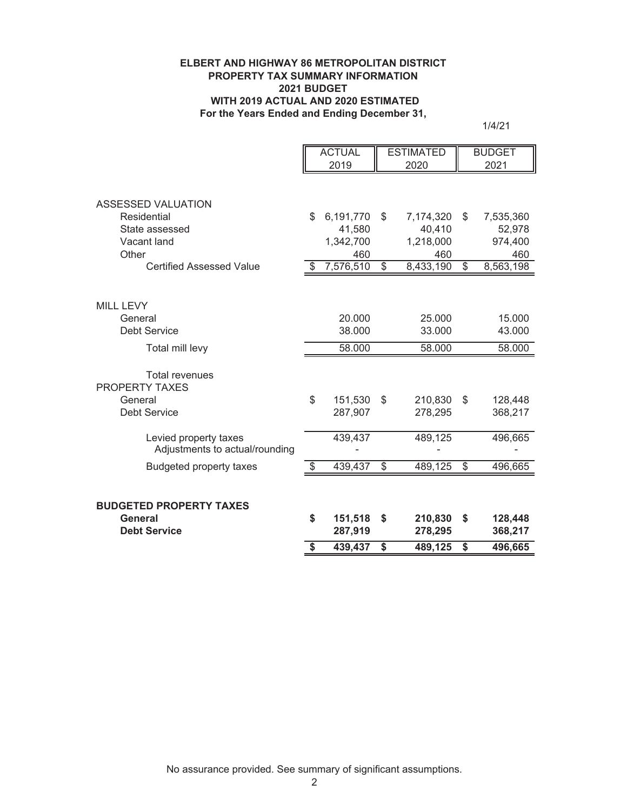## **ELBERT AND HIGHWAY 86 METROPOLITAN DISTRICT PROPERTY TAX SUMMARY INFORMATION 2021 BUDGET WITH 2019 ACTUAL AND 2020 ESTIMATED For the Years Ended and Ending December 31,**

1/4/21

|                                                                                  | <b>ACTUAL</b><br>2019 |                                         |                          | <b>ESTIMATED</b><br>2020                |                         | <b>BUDGET</b><br>2021                 |
|----------------------------------------------------------------------------------|-----------------------|-----------------------------------------|--------------------------|-----------------------------------------|-------------------------|---------------------------------------|
| ASSESSED VALUATION<br>Residential<br>State assessed<br>Vacant land<br>Other      | \$                    | 6,191,770<br>41,580<br>1,342,700<br>460 | \$                       | 7,174,320<br>40,410<br>1,218,000<br>460 | S                       | 7,535,360<br>52,978<br>974,400<br>460 |
| <b>Certified Assessed Value</b>                                                  | \$                    | 7,576,510                               | $\overline{\mathcal{S}}$ | 8,433,190                               | $\overline{\mathbb{S}}$ | 8,563,198                             |
| MILL LEVY<br>General<br><b>Debt Service</b>                                      |                       | 20.000<br>38.000                        |                          | 25.000<br>33.000                        |                         | 15.000<br>43.000                      |
| Total mill levy                                                                  |                       | 58.000                                  |                          | 58.000                                  |                         | 58.000                                |
| <b>Total revenues</b><br><b>PROPERTY TAXES</b><br>General<br><b>Debt Service</b> | \$                    | 151,530<br>287,907                      | \$                       | 210,830<br>278,295                      | \$                      | 128,448<br>368,217                    |
| Levied property taxes<br>Adjustments to actual/rounding                          |                       | 439,437                                 |                          | 489,125                                 |                         | 496,665                               |
| <b>Budgeted property taxes</b>                                                   | \$                    | 439,437                                 | \$                       | 489,125                                 | \$                      | 496,665                               |
| <b>BUDGETED PROPERTY TAXES</b><br>General<br><b>Debt Service</b>                 | \$                    | 151,518<br>287,919                      | \$                       | 210,830<br>278,295                      | \$                      | 128,448<br>368,217                    |
|                                                                                  | \$                    | 439,437                                 | \$                       | 489,125                                 | \$                      | 496,665                               |

No assurance provided. See summary of significant assumptions.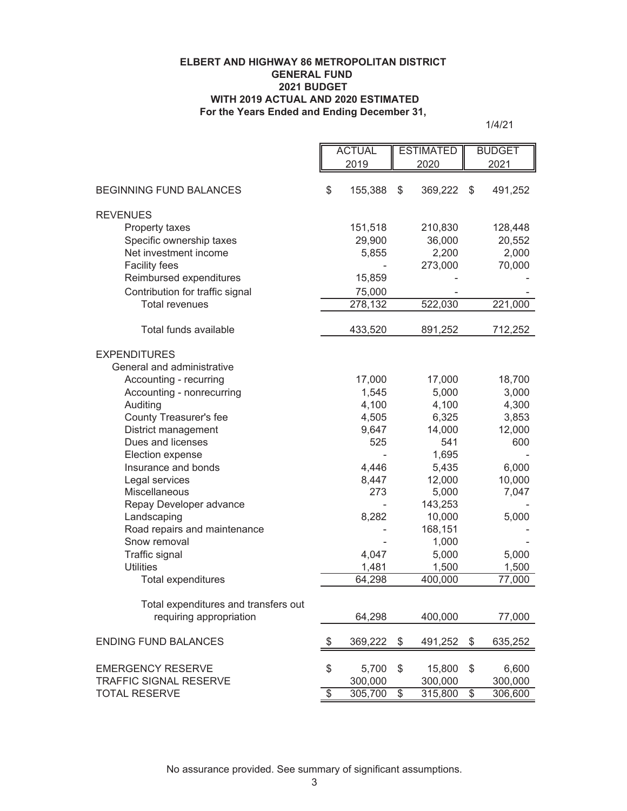## **For the Years Ended and Ending December 31, ELBERT AND HIGHWAY 86 METROPOLITAN DISTRICT GENERAL FUND 2021 BUDGET WITH 2019 ACTUAL AND 2020 ESTIMATED**

1/4/21

| 2019<br>2020<br>2021<br>\$<br><b>BEGINNING FUND BALANCES</b><br>155,388<br>\$<br>369,222<br>\$<br><b>REVENUES</b><br>151,518<br>128,448<br>Property taxes<br>210,830 |                          | <b>ACTUAL</b> |  | <b>ESTIMATED</b> |  | <b>BUDGET</b>   |  |
|----------------------------------------------------------------------------------------------------------------------------------------------------------------------|--------------------------|---------------|--|------------------|--|-----------------|--|
|                                                                                                                                                                      |                          |               |  |                  |  |                 |  |
|                                                                                                                                                                      |                          |               |  |                  |  |                 |  |
|                                                                                                                                                                      |                          |               |  |                  |  | 491,252         |  |
|                                                                                                                                                                      |                          |               |  |                  |  |                 |  |
|                                                                                                                                                                      |                          |               |  |                  |  |                 |  |
|                                                                                                                                                                      |                          |               |  |                  |  |                 |  |
|                                                                                                                                                                      | Specific ownership taxes | 29,900        |  | 36,000           |  | 20,552          |  |
| Net investment income<br>5,855<br>2,200                                                                                                                              |                          |               |  |                  |  | 2,000           |  |
| <b>Facility fees</b><br>273,000                                                                                                                                      |                          |               |  |                  |  | 70,000          |  |
| Reimbursed expenditures<br>15,859                                                                                                                                    |                          |               |  |                  |  |                 |  |
| Contribution for traffic signal<br>75,000                                                                                                                            |                          |               |  |                  |  |                 |  |
| <b>Total revenues</b><br>278,132<br>522,030                                                                                                                          |                          |               |  |                  |  | 221,000         |  |
| Total funds available<br>433,520<br>891,252                                                                                                                          |                          |               |  |                  |  | 712,252         |  |
|                                                                                                                                                                      |                          |               |  |                  |  |                 |  |
| <b>EXPENDITURES</b>                                                                                                                                                  |                          |               |  |                  |  |                 |  |
| General and administrative                                                                                                                                           |                          |               |  |                  |  |                 |  |
| Accounting - recurring<br>17,000<br>17,000                                                                                                                           |                          |               |  |                  |  | 18,700          |  |
| 5,000<br>Accounting - nonrecurring<br>1,545                                                                                                                          |                          |               |  |                  |  | 3,000           |  |
| Auditing<br>4,100<br>4,100                                                                                                                                           |                          |               |  |                  |  | 4,300           |  |
| County Treasurer's fee<br>4,505<br>6,325                                                                                                                             |                          |               |  |                  |  | 3,853           |  |
| District management<br>14,000<br>9,647                                                                                                                               |                          |               |  |                  |  | 12,000          |  |
| Dues and licenses<br>541<br>525                                                                                                                                      |                          |               |  |                  |  | 600             |  |
| 1,695<br>Election expense                                                                                                                                            |                          |               |  |                  |  |                 |  |
| Insurance and bonds<br>4,446<br>5,435                                                                                                                                |                          |               |  |                  |  | 6,000           |  |
| 8,447<br>12,000<br>Legal services                                                                                                                                    |                          |               |  |                  |  | 10,000          |  |
| Miscellaneous<br>273<br>5,000                                                                                                                                        |                          |               |  |                  |  | 7,047           |  |
| Repay Developer advance<br>143,253                                                                                                                                   |                          |               |  |                  |  |                 |  |
| Landscaping<br>8,282<br>10,000                                                                                                                                       |                          |               |  |                  |  | 5,000           |  |
| Road repairs and maintenance<br>168,151<br>Snow removal                                                                                                              |                          |               |  |                  |  |                 |  |
| 1,000                                                                                                                                                                |                          |               |  |                  |  |                 |  |
| Traffic signal<br>4,047<br>5,000<br><b>Utilities</b>                                                                                                                 |                          |               |  |                  |  | 5,000           |  |
| 1,481<br>1,500<br>400,000<br>Total expenditures<br>64,298                                                                                                            |                          |               |  |                  |  | 1,500<br>77,000 |  |
|                                                                                                                                                                      |                          |               |  |                  |  |                 |  |
| Total expenditures and transfers out                                                                                                                                 |                          |               |  |                  |  |                 |  |
| requiring appropriation<br>64,298<br>400,000                                                                                                                         |                          |               |  |                  |  | 77,000          |  |
|                                                                                                                                                                      |                          |               |  |                  |  |                 |  |
| <b>ENDING FUND BALANCES</b><br>\$<br>369,222<br>\$<br>\$<br>491,252                                                                                                  |                          |               |  |                  |  | 635,252         |  |
| \$<br>\$<br>\$<br><b>EMERGENCY RESERVE</b><br>5,700<br>15,800                                                                                                        |                          |               |  |                  |  | 6,600           |  |
| <b>TRAFFIC SIGNAL RESERVE</b><br>300,000<br>300,000                                                                                                                  |                          |               |  |                  |  | 300,000         |  |
| $\overline{\$}$<br>$\overline{\$}$<br>305,700<br>315,800<br>$\overline{\$}$<br><b>TOTAL RESERVE</b>                                                                  |                          |               |  |                  |  | 306,600         |  |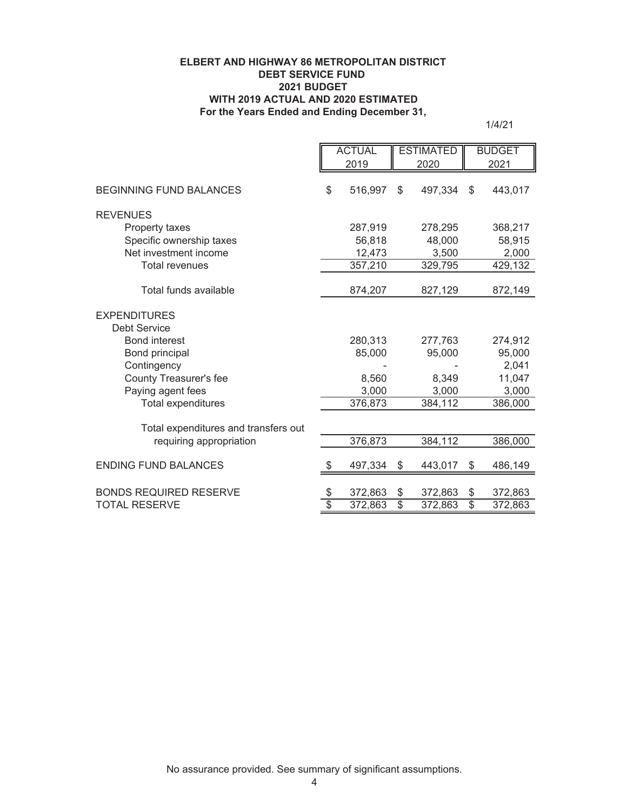## **ELBERT AND HIGHWAY 86 METROPOLITAN DISTRICT DEBT SERVICE FUND 2021 BUDGET WITH 2019 ACTUAL AND 2020 ESTIMATED For the Years Ended and Ending December 31,**

1/4/21

|                                      | <b>ACTUAL</b>   |         | <b>ESTIMATED</b> |         | <b>BUDGET</b>   |         |
|--------------------------------------|-----------------|---------|------------------|---------|-----------------|---------|
|                                      |                 | 2019    |                  | 2020    |                 | 2021    |
| <b>BEGINNING FUND BALANCES</b>       | \$              | 516,997 | \$               | 497,334 | \$              | 443,017 |
| <b>REVENUES</b>                      |                 |         |                  |         |                 |         |
| Property taxes                       |                 | 287,919 |                  | 278,295 |                 | 368,217 |
| Specific ownership taxes             |                 | 56,818  |                  | 48,000  |                 | 58,915  |
| Net investment income                |                 | 12,473  |                  | 3,500   |                 | 2,000   |
| <b>Total revenues</b>                |                 | 357,210 |                  | 329,795 |                 | 429,132 |
| Total funds available                |                 | 874,207 |                  | 827,129 |                 | 872,149 |
| <b>EXPENDITURES</b>                  |                 |         |                  |         |                 |         |
| Debt Service                         |                 |         |                  |         |                 |         |
| <b>Bond interest</b>                 |                 | 280,313 |                  | 277,763 |                 | 274,912 |
| Bond principal                       |                 | 85,000  |                  | 95,000  |                 | 95,000  |
| Contingency                          |                 |         |                  |         |                 | 2,041   |
| <b>County Treasurer's fee</b>        |                 | 8,560   |                  | 8,349   |                 | 11,047  |
| Paying agent fees                    |                 | 3,000   |                  | 3,000   |                 | 3,000   |
| Total expenditures                   |                 | 376,873 |                  | 384,112 |                 | 386,000 |
| Total expenditures and transfers out |                 |         |                  |         |                 |         |
| requiring appropriation              |                 | 376,873 |                  | 384,112 |                 | 386,000 |
| <b>ENDING FUND BALANCES</b>          | S               | 497,334 | \$               | 443,017 | \$              | 486,149 |
|                                      |                 |         |                  |         |                 |         |
| <b>BONDS REQUIRED RESERVE</b>        | \$              | 372,863 | \$               | 372,863 | \$              | 372,863 |
| <b>TOTAL RESERVE</b>                 | $\overline{\$}$ | 372,863 | $\overline{\$}$  | 372,863 | $\overline{\$}$ | 372,863 |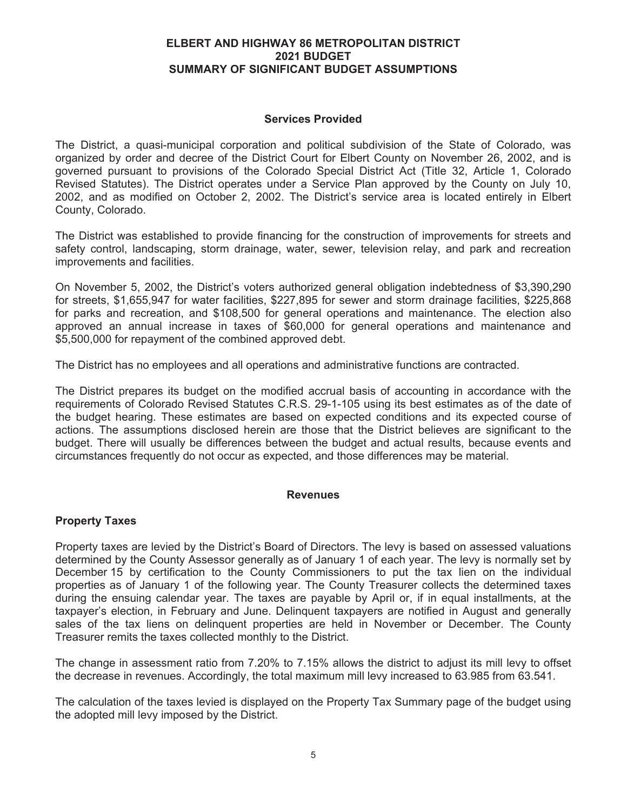## **ELBERT AND HIGHWAY 86 METROPOLITAN DISTRICT 2021 BUDGET SUMMARY OF SIGNIFICANT BUDGET ASSUMPTIONS**

# **Services Provided**

The District, a quasi-municipal corporation and political subdivision of the State of Colorado, was organized by order and decree of the District Court for Elbert County on November 26, 2002, and is governed pursuant to provisions of the Colorado Special District Act (Title 32, Article 1, Colorado Revised Statutes). The District operates under a Service Plan approved by the County on July 10, 2002, and as modified on October 2, 2002. The District's service area is located entirely in Elbert County, Colorado.

The District was established to provide financing for the construction of improvements for streets and safety control, landscaping, storm drainage, water, sewer, television relay, and park and recreation improvements and facilities.

On November 5, 2002, the District's voters authorized general obligation indebtedness of \$3,390,290 for streets, \$1,655,947 for water facilities, \$227,895 for sewer and storm drainage facilities, \$225,868 for parks and recreation, and \$108,500 for general operations and maintenance. The election also approved an annual increase in taxes of \$60,000 for general operations and maintenance and \$5,500,000 for repayment of the combined approved debt.

The District has no employees and all operations and administrative functions are contracted.

The District prepares its budget on the modified accrual basis of accounting in accordance with the requirements of Colorado Revised Statutes C.R.S. 29-1-105 using its best estimates as of the date of the budget hearing. These estimates are based on expected conditions and its expected course of actions. The assumptions disclosed herein are those that the District believes are significant to the budget. There will usually be differences between the budget and actual results, because events and circumstances frequently do not occur as expected, and those differences may be material.

## **Revenues**

## **Property Taxes**

Property taxes are levied by the District's Board of Directors. The levy is based on assessed valuations determined by the County Assessor generally as of January 1 of each year. The levy is normally set by December 15 by certification to the County Commissioners to put the tax lien on the individual properties as of January 1 of the following year. The County Treasurer collects the determined taxes during the ensuing calendar year. The taxes are payable by April or, if in equal installments, at the taxpayer's election, in February and June. Delinquent taxpayers are notified in August and generally sales of the tax liens on delinquent properties are held in November or December. The County Treasurer remits the taxes collected monthly to the District.

The change in assessment ratio from 7.20% to 7.15% allows the district to adjust its mill levy to offset the decrease in revenues. Accordingly, the total maximum mill levy increased to 63.985 from 63.541.

The calculation of the taxes levied is displayed on the Property Tax Summary page of the budget using the adopted mill levy imposed by the District.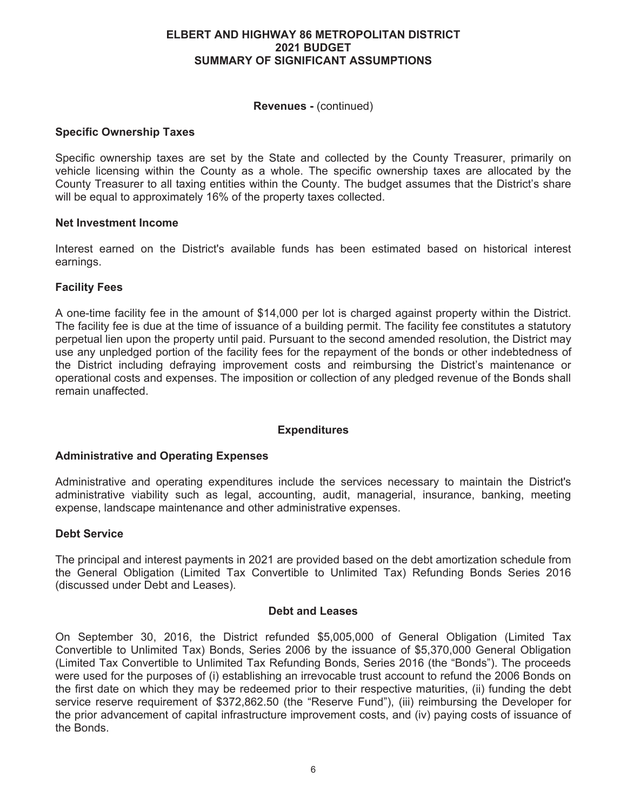# **ELBERT AND HIGHWAY 86 METROPOLITAN DISTRICT 2021 BUDGET SUMMARY OF SIGNIFICANT ASSUMPTIONS**

# **Revenues -** (continued)

# **Specific Ownership Taxes**

Specific ownership taxes are set by the State and collected by the County Treasurer, primarily on vehicle licensing within the County as a whole. The specific ownership taxes are allocated by the County Treasurer to all taxing entities within the County. The budget assumes that the District's share will be equal to approximately 16% of the property taxes collected.

# **Net Investment Income**

Interest earned on the District's available funds has been estimated based on historical interest earnings.

# **Facility Fees**

A one-time facility fee in the amount of \$14,000 per lot is charged against property within the District. The facility fee is due at the time of issuance of a building permit. The facility fee constitutes a statutory perpetual lien upon the property until paid. Pursuant to the second amended resolution, the District may use any unpledged portion of the facility fees for the repayment of the bonds or other indebtedness of the District including defraying improvement costs and reimbursing the District's maintenance or operational costs and expenses. The imposition or collection of any pledged revenue of the Bonds shall remain unaffected.

## **Expenditures**

## **Administrative and Operating Expenses**

Administrative and operating expenditures include the services necessary to maintain the District's administrative viability such as legal, accounting, audit, managerial, insurance, banking, meeting expense, landscape maintenance and other administrative expenses.

## **Debt Service**

The principal and interest payments in 2021 are provided based on the debt amortization schedule from the General Obligation (Limited Tax Convertible to Unlimited Tax) Refunding Bonds Series 2016 (discussed under Debt and Leases).

## **Debt and Leases**

On September 30, 2016, the District refunded \$5,005,000 of General Obligation (Limited Tax Convertible to Unlimited Tax) Bonds, Series 2006 by the issuance of \$5,370,000 General Obligation (Limited Tax Convertible to Unlimited Tax Refunding Bonds, Series 2016 (the "Bonds"). The proceeds were used for the purposes of (i) establishing an irrevocable trust account to refund the 2006 Bonds on the first date on which they may be redeemed prior to their respective maturities, (ii) funding the debt service reserve requirement of \$372,862.50 (the "Reserve Fund"), (iii) reimbursing the Developer for the prior advancement of capital infrastructure improvement costs, and (iv) paying costs of issuance of the Bonds.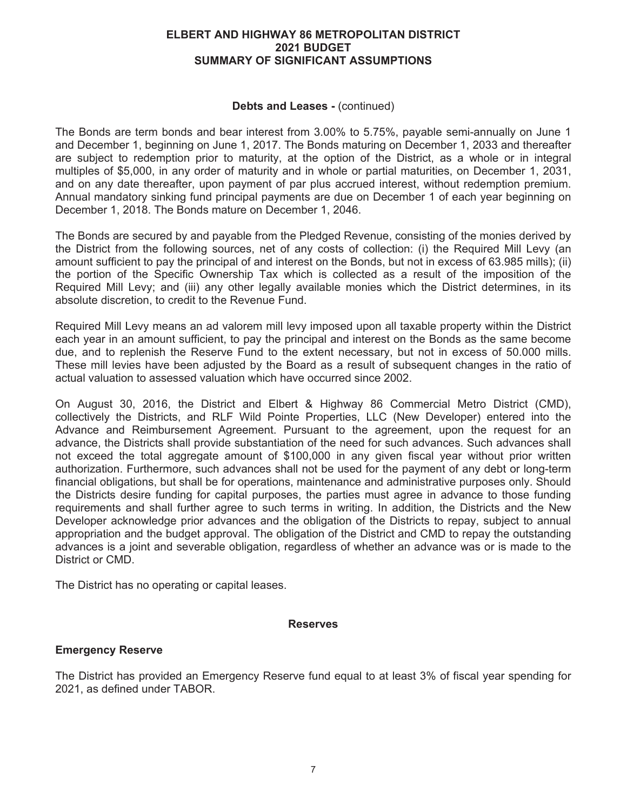# **ELBERT AND HIGHWAY 86 METROPOLITAN DISTRICT 2021 BUDGET SUMMARY OF SIGNIFICANT ASSUMPTIONS**

## **Debts and Leases -** (continued)

The Bonds are term bonds and bear interest from 3.00% to 5.75%, payable semi-annually on June 1 and December 1, beginning on June 1, 2017. The Bonds maturing on December 1, 2033 and thereafter are subject to redemption prior to maturity, at the option of the District, as a whole or in integral multiples of \$5,000, in any order of maturity and in whole or partial maturities, on December 1, 2031, and on any date thereafter, upon payment of par plus accrued interest, without redemption premium. Annual mandatory sinking fund principal payments are due on December 1 of each year beginning on December 1, 2018. The Bonds mature on December 1, 2046.

The Bonds are secured by and payable from the Pledged Revenue, consisting of the monies derived by the District from the following sources, net of any costs of collection: (i) the Required Mill Levy (an amount sufficient to pay the principal of and interest on the Bonds, but not in excess of 63.985 mills); (ii) the portion of the Specific Ownership Tax which is collected as a result of the imposition of the Required Mill Levy; and (iii) any other legally available monies which the District determines, in its absolute discretion, to credit to the Revenue Fund.

Required Mill Levy means an ad valorem mill levy imposed upon all taxable property within the District each year in an amount sufficient, to pay the principal and interest on the Bonds as the same become due, and to replenish the Reserve Fund to the extent necessary, but not in excess of 50.000 mills. These mill levies have been adjusted by the Board as a result of subsequent changes in the ratio of actual valuation to assessed valuation which have occurred since 2002.

On August 30, 2016, the District and Elbert & Highway 86 Commercial Metro District (CMD), collectively the Districts, and RLF Wild Pointe Properties, LLC (New Developer) entered into the Advance and Reimbursement Agreement. Pursuant to the agreement, upon the request for an advance, the Districts shall provide substantiation of the need for such advances. Such advances shall not exceed the total aggregate amount of \$100,000 in any given fiscal year without prior written authorization. Furthermore, such advances shall not be used for the payment of any debt or long-term financial obligations, but shall be for operations, maintenance and administrative purposes only. Should the Districts desire funding for capital purposes, the parties must agree in advance to those funding requirements and shall further agree to such terms in writing. In addition, the Districts and the New Developer acknowledge prior advances and the obligation of the Districts to repay, subject to annual appropriation and the budget approval. The obligation of the District and CMD to repay the outstanding advances is a joint and severable obligation, regardless of whether an advance was or is made to the District or CMD.

The District has no operating or capital leases.

# **Reserves**

# **Emergency Reserve**

The District has provided an Emergency Reserve fund equal to at least 3% of fiscal year spending for 2021, as defined under TABOR.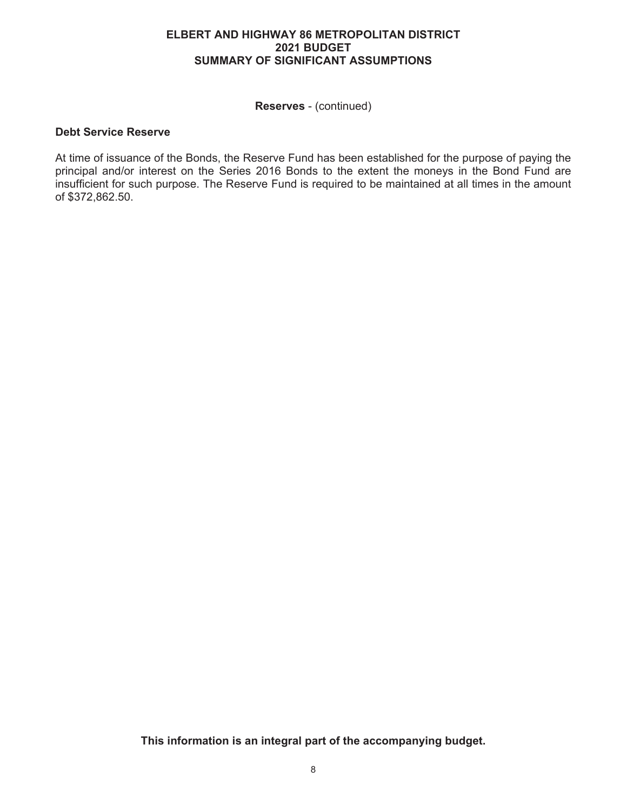# **ELBERT AND HIGHWAY 86 METROPOLITAN DISTRICT 2021 BUDGET SUMMARY OF SIGNIFICANT ASSUMPTIONS**

**Reserves** - (continued)

# **Debt Service Reserve**

At time of issuance of the Bonds, the Reserve Fund has been established for the purpose of paying the principal and/or interest on the Series 2016 Bonds to the extent the moneys in the Bond Fund are insufficient for such purpose. The Reserve Fund is required to be maintained at all times in the amount of \$372,862.50.

**This information is an integral part of the accompanying budget.**